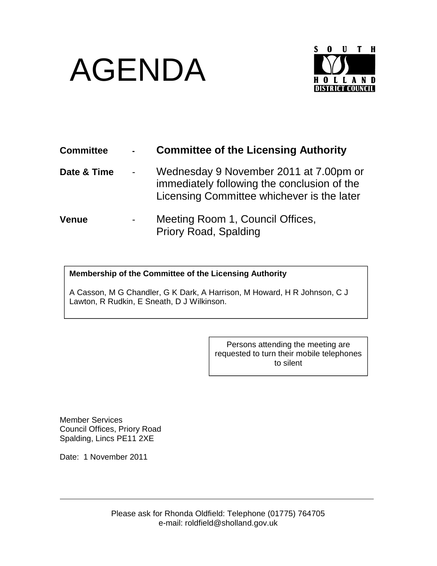## AGENDA



| <b>Committee</b> | <b>Committee of the Licensing Authority</b>                                                                                         |
|------------------|-------------------------------------------------------------------------------------------------------------------------------------|
| Date & Time      | Wednesday 9 November 2011 at 7.00pm or<br>immediately following the conclusion of the<br>Licensing Committee whichever is the later |
| Venue            | Meeting Room 1, Council Offices,<br><b>Priory Road, Spalding</b>                                                                    |

## **Membership of the Committee of the Licensing Authority**

A Casson, M G Chandler, G K Dark, A Harrison, M Howard, H R Johnson, C J Lawton, R Rudkin, E Sneath, D J Wilkinson.

> Persons attending the meeting are requested to turn their mobile telephones to silent

Member Services Council Offices, Priory Road Spalding, Lincs PE11 2XE

Date: 1 November 2011